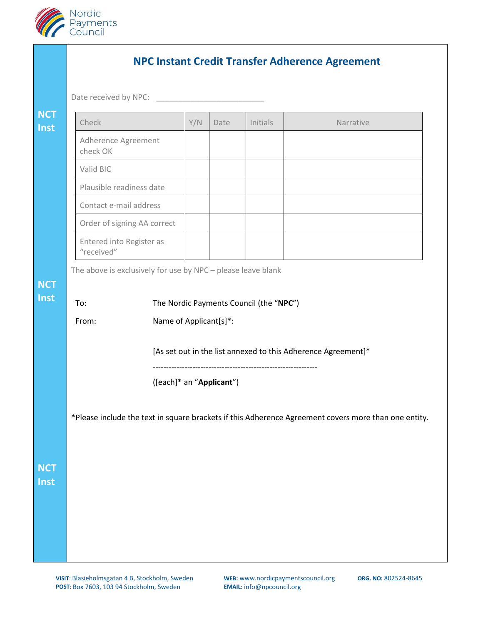

| Date received by NPC:                  |                                                                                         |                          |      |          |           |  |
|----------------------------------------|-----------------------------------------------------------------------------------------|--------------------------|------|----------|-----------|--|
| Check                                  |                                                                                         | Y/N                      | Date | Initials | Narrative |  |
| Adherence Agreement<br>check OK        |                                                                                         |                          |      |          |           |  |
| Valid BIC                              |                                                                                         |                          |      |          |           |  |
| Plausible readiness date               |                                                                                         |                          |      |          |           |  |
| Contact e-mail address                 |                                                                                         |                          |      |          |           |  |
| Order of signing AA correct            |                                                                                         |                          |      |          |           |  |
| Entered into Register as<br>"received" |                                                                                         |                          |      |          |           |  |
| From:                                  | Name of Applicant[s]*:<br>[As set out in the list annexed to this Adherence Agreement]* |                          |      |          |           |  |
|                                        |                                                                                         | ([each]* an "Applicant") |      |          |           |  |
|                                        |                                                                                         |                          |      |          |           |  |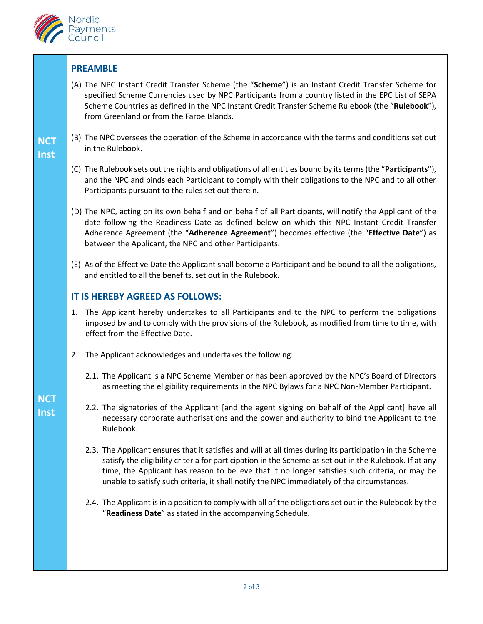

## **PREAMBLE**

- (A) The NPC Instant Credit Transfer Scheme (the "**Scheme**") is an Instant Credit Transfer Scheme for specified Scheme Currencies used by NPC Participants from a country listed in the EPC List of SEPA Scheme Countries as defined in the NPC Instant Credit Transfer Scheme Rulebook (the "**Rulebook**"), from Greenland or from the Faroe Islands.
- (B) The NPC oversees the operation of the Scheme in accordance with the terms and conditions set out in the Rulebook.

## **NCT Inst**

- (C) The Rulebook sets out the rights and obligations of all entities bound by its terms (the "**Participants**"), and the NPC and binds each Participant to comply with their obligations to the NPC and to all other Participants pursuant to the rules set out therein.
- (D) The NPC, acting on its own behalf and on behalf of all Participants, will notify the Applicant of the date following the Readiness Date as defined below on which this NPC Instant Credit Transfer Adherence Agreement (the "**Adherence Agreement**") becomes effective (the "**Effective Date**") as between the Applicant, the NPC and other Participants.
- (E) As of the Effective Date the Applicant shall become a Participant and be bound to all the obligations, and entitled to all the benefits, set out in the Rulebook.

## **IT IS HEREBY AGREED AS FOLLOWS:**

- 1. The Applicant hereby undertakes to all Participants and to the NPC to perform the obligations imposed by and to comply with the provisions of the Rulebook, as modified from time to time, with effect from the Effective Date.
- 2. The Applicant acknowledges and undertakes the following:
	- 2.1. The Applicant is a NPC Scheme Member or has been approved by the NPC's Board of Directors as meeting the eligibility requirements in the NPC Bylaws for a NPC Non-Member Participant.
	- 2.2. The signatories of the Applicant [and the agent signing on behalf of the Applicant] have all necessary corporate authorisations and the power and authority to bind the Applicant to the Rulebook.
	- 2.3. The Applicant ensures that it satisfies and will at all times during its participation in the Scheme satisfy the eligibility criteria for participation in the Scheme as set out in the Rulebook. If at any time, the Applicant has reason to believe that it no longer satisfies such criteria, or may be unable to satisfy such criteria, it shall notify the NPC immediately of the circumstances.
	- 2.4. The Applicant is in a position to comply with all of the obligations set out in the Rulebook by the "**Readiness Date**" as stated in the accompanying Schedule.

## **NCT Inst**